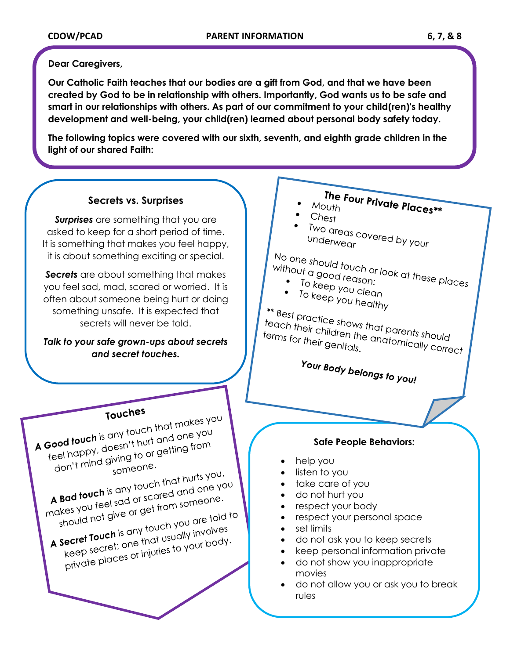#### **Dear Caregivers,**

**Our Catholic Faith teaches that our bodies are a gift from God, and that we have been created by God to be in relationship with others. Importantly, God wants us to be safe and smart in our relationships with others. As part of our commitment to your child(ren)'s healthy development and well-being, your child(ren) learned about personal body safety today.** 

**The following topics were covered with our sixth, seventh, and eighth grade children in the light of our shared Faith:** 

### **Secrets vs. Surprises**

**Surprises** are something that you are asked to keep for a short period of time. It is something that makes you feel happy, it is about something exciting or special.

**Secrets** are about something that makes you feel sad, mad, scared or worried. It is often about someone being hurt or doing something unsafe. It is expected that secrets will never be told.

#### *Talk to your safe grown-ups about secrets and secret touches.*



Touches<br>A Good touch is any touch that makes you<br>A Good touch is any touch that and one you Good touch is any touch that makes?<br>feel happy, doesn't hurt and one you<br>feel happy, doesn't hurt and one you ood touch is any<br>eel happy, doesn't hurt and one from<br>don't mind giving to or getting from someone.

 $\frac{100^{17}}{110^{11}}$  someone.<br>
A Bad touch is any touch that hurts you,<br>
A Bad touch is any touch that hurts you,<br>  $\frac{100^{11}}{100}$  is sad or scared and one you. A Bad touch is any touch that hurts you,<br>makes you feel sad or scared and one you<br>makes you feel sad or get from someone.  $\alpha$  **Bad touch** is any tour and one of the sad or scared and one.<br>The you feel sad or scared and one one.<br>Should not give or get from someone.

makes you feel by or get from some told to<br>should not give or get from you are told to<br>**A secret Touch** is any touch you are told to should the two states any touch you die to the<br>secret Touch is any touch you die to the secret; one that usually involves secret Touch is driving usually involved<br>keep secret; one that usually involved<br>private places or injuries to your body.

# The Four Private Places\*\*<br>Puth Mouth

- $Chest$
- Two areas covered by your<br>Underwear underwear

- without a good reason:<br>• To keep you reason:
- No one should touch or look at these places<br>without a good reason:<br>• To keep you close
	- To keep you clean<br>• To keep you clean<br>• To keep you be an • To keep you clean<br>• To keep you healthy

<sup>\*\*</sup> Best practice shows that parents should<br>teach their children the anatomically<br>ferms for their genite! anatomically teach their children that parents should<br>terms for their genitals.<br>terms for their genitals. terms for their genitals.

Your Body belongs to you!

#### **Safe People Behaviors:**

- help you
- listen to you
- take care of you
- do not hurt you
- respect your body
- respect your personal space
- set limits
- do not ask you to keep secrets
- keep personal information private
- do not show you inappropriate movies
- do not allow you or ask you to break rules